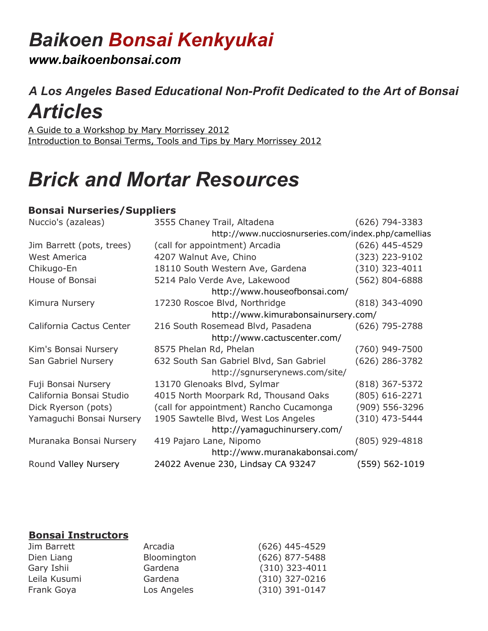# *Baikoen Bonsai Kenkyukai*

*www.baikoenbonsai.com*

## *A Los Angeles Based Educational Non-Profit Dedicated to the Art of Bonsai Articles*

[A Guide to a Workshop by Mary Morrissey 2012](https://docs.wixstatic.com/ugd/c8f46a_aeac42aa7ea34feab3b0f25e541ac119.pdf) [Introduction to Bonsai Terms, Tools and Tips by Mary Morrissey 2012](https://docs.wixstatic.com/ugd/c8f46a_aba3546cb31d4d67a9abb25ac92d1867.pdf)

# *Brick and Mortar Resources*

### **Bonsai Nurseries/Suppliers**

| 3555 Chaney Trail, Altadena                         | (626) 794-3383     |
|-----------------------------------------------------|--------------------|
| http://www.nucciosnurseries.com/index.php/camellias |                    |
| (call for appointment) Arcadia                      | $(626)$ 445-4529   |
| 4207 Walnut Ave, Chino                              | (323) 223-9102     |
| 18110 South Western Ave, Gardena                    | $(310)$ 323-4011   |
| 5214 Palo Verde Ave, Lakewood                       | (562) 804-6888     |
| http://www.houseofbonsai.com/                       |                    |
| 17230 Roscoe Blvd, Northridge                       | $(818)$ 343-4090   |
| http://www.kimurabonsainursery.com/                 |                    |
| 216 South Rosemead Blvd, Pasadena                   | $(626)$ 795-2788   |
| http://www.cactuscenter.com/                        |                    |
| 8575 Phelan Rd, Phelan                              | (760) 949-7500     |
| 632 South San Gabriel Blvd, San Gabriel             | $(626)$ 286-3782   |
| http://sgnurserynews.com/site/                      |                    |
| 13170 Glenoaks Blvd, Sylmar                         | $(818)$ 367-5372   |
| 4015 North Moorpark Rd, Thousand Oaks               | $(805) 616 - 2271$ |
| (call for appointment) Rancho Cucamonga             | (909) 556-3296     |
| 1905 Sawtelle Blvd, West Los Angeles                | (310) 473-5444     |
| http://yamaguchinursery.com/                        |                    |
| 419 Pajaro Lane, Nipomo                             | (805) 929-4818     |
| http://www.muranakabonsai.com/                      |                    |
| 24022 Avenue 230, Lindsay CA 93247                  | $(559) 562 - 1019$ |
|                                                     |                    |

#### **Bonsai Instructors**

| Jim Barrett  | Arcadia     | $(626)$ 445-4529 |
|--------------|-------------|------------------|
| Dien Liang   | Bloomington | $(626)$ 877-5488 |
| Gary Ishii   | Gardena     | $(310)$ 323-4011 |
| Leila Kusumi | Gardena     | $(310)$ 327-0216 |
| Frank Goya   | Los Angeles | $(310)$ 391-0147 |
|              |             |                  |